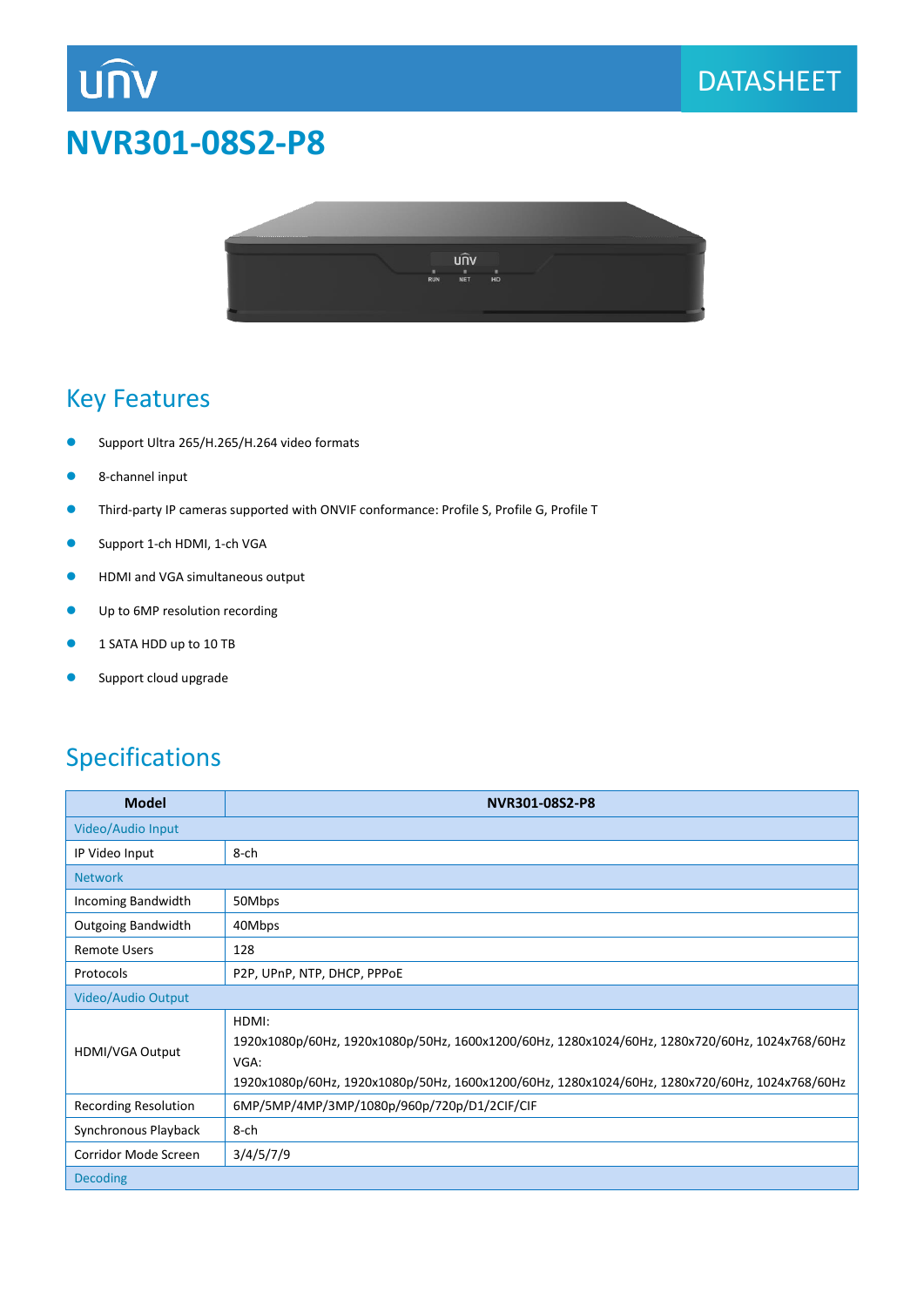# **NVR301-08S2-P8**



### Key Features

**UNV** 

- Support Ultra 265/H.265/H.264 video formats
- 8-channel input
- Third-party IP cameras supported with ONVIF conformance: Profile S, Profile G, Profile T
- **Support 1-ch HDMI, 1-ch VGA**
- **•** HDMI and VGA simultaneous output
- **Up to 6MP resolution recording**
- **1 SATA HDD up to 10 TB**
- **Support cloud upgrade**

### Specifications

| <b>Model</b>              | NVR301-08S2-P8                                                                                                                                                                                                    |  |
|---------------------------|-------------------------------------------------------------------------------------------------------------------------------------------------------------------------------------------------------------------|--|
| Video/Audio Input         |                                                                                                                                                                                                                   |  |
| IP Video Input            | 8-ch                                                                                                                                                                                                              |  |
| <b>Network</b>            |                                                                                                                                                                                                                   |  |
| Incoming Bandwidth        | 50Mbps                                                                                                                                                                                                            |  |
| <b>Outgoing Bandwidth</b> | 40Mbps                                                                                                                                                                                                            |  |
| <b>Remote Users</b>       | 128                                                                                                                                                                                                               |  |
| Protocols                 | P2P, UPnP, NTP, DHCP, PPPOE                                                                                                                                                                                       |  |
| Video/Audio Output        |                                                                                                                                                                                                                   |  |
| HDMI/VGA Output           | HDMI:<br>1920x1080p/60Hz, 1920x1080p/50Hz, 1600x1200/60Hz, 1280x1024/60Hz, 1280x720/60Hz, 1024x768/60Hz<br>VGA:<br>1920x1080p/60Hz, 1920x1080p/50Hz, 1600x1200/60Hz, 1280x1024/60Hz, 1280x720/60Hz, 1024x768/60Hz |  |
| Recording Resolution      | 6MP/5MP/4MP/3MP/1080p/960p/720p/D1/2CIF/CIF                                                                                                                                                                       |  |
| Synchronous Playback      | 8-ch                                                                                                                                                                                                              |  |
| Corridor Mode Screen      | 3/4/5/7/9                                                                                                                                                                                                         |  |
| <b>Decoding</b>           |                                                                                                                                                                                                                   |  |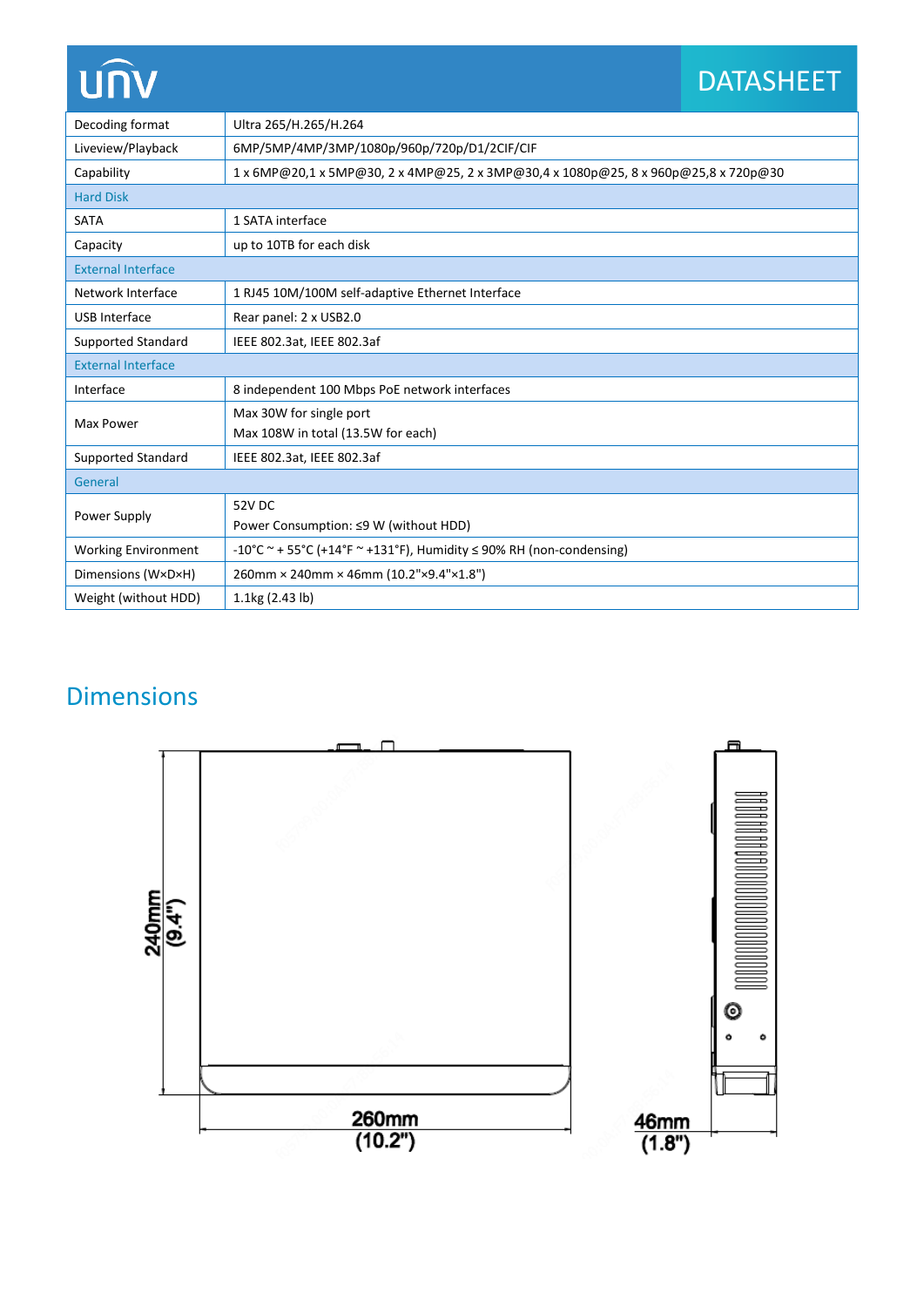# unv

# DATASHEET

| Decoding format            | Ultra 265/H.265/H.264                                                               |  |
|----------------------------|-------------------------------------------------------------------------------------|--|
| Liveview/Playback          | 6MP/5MP/4MP/3MP/1080p/960p/720p/D1/2CIF/CIF                                         |  |
| Capability                 | 1 x 6MP@20,1 x 5MP@30, 2 x 4MP@25, 2 x 3MP@30,4 x 1080p@25, 8 x 960p@25,8 x 720p@30 |  |
| <b>Hard Disk</b>           |                                                                                     |  |
| <b>SATA</b>                | 1 SATA interface                                                                    |  |
| Capacity                   | up to 10TB for each disk                                                            |  |
| <b>External Interface</b>  |                                                                                     |  |
| Network Interface          | 1 RJ45 10M/100M self-adaptive Ethernet Interface                                    |  |
| <b>USB Interface</b>       | Rear panel: 2 x USB2.0                                                              |  |
| <b>Supported Standard</b>  | IEEE 802.3at, IEEE 802.3af                                                          |  |
| <b>External Interface</b>  |                                                                                     |  |
| Interface                  | 8 independent 100 Mbps PoE network interfaces                                       |  |
| Max Power                  | Max 30W for single port                                                             |  |
|                            | Max 108W in total (13.5W for each)                                                  |  |
| <b>Supported Standard</b>  | IEEE 802.3at, IEEE 802.3af                                                          |  |
| General                    |                                                                                     |  |
| Power Supply               | 52V DC                                                                              |  |
|                            | Power Consumption: ≤9 W (without HDD)                                               |  |
| <b>Working Environment</b> | -10°C ~ + 55°C (+14°F ~ +131°F), Humidity $\leq$ 90% RH (non-condensing)            |  |
| Dimensions (W×D×H)         | 260mm × 240mm × 46mm (10.2"×9.4"×1.8")                                              |  |
| Weight (without HDD)       | 1.1kg (2.43 lb)                                                                     |  |

## Dimensions